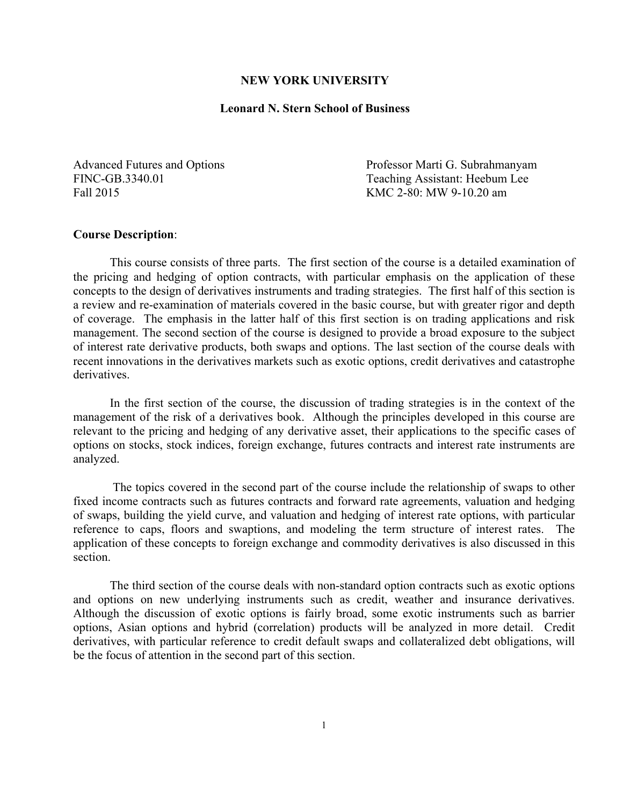#### **NEW YORK UNIVERSITY**

#### **Leonard N. Stern School of Business**

Fall 2015 KMC 2-80: MW 9-10.20 am

Advanced Futures and Options Professor Marti G. Subrahmanyam FINC-GB.3340.01 Teaching Assistant: Heebum Lee

#### **Course Description**:

This course consists of three parts. The first section of the course is a detailed examination of the pricing and hedging of option contracts, with particular emphasis on the application of these concepts to the design of derivatives instruments and trading strategies. The first half of this section is a review and re-examination of materials covered in the basic course, but with greater rigor and depth of coverage. The emphasis in the latter half of this first section is on trading applications and risk management. The second section of the course is designed to provide a broad exposure to the subject of interest rate derivative products, both swaps and options. The last section of the course deals with recent innovations in the derivatives markets such as exotic options, credit derivatives and catastrophe derivatives.

In the first section of the course, the discussion of trading strategies is in the context of the management of the risk of a derivatives book. Although the principles developed in this course are relevant to the pricing and hedging of any derivative asset, their applications to the specific cases of options on stocks, stock indices, foreign exchange, futures contracts and interest rate instruments are analyzed.

The topics covered in the second part of the course include the relationship of swaps to other fixed income contracts such as futures contracts and forward rate agreements, valuation and hedging of swaps, building the yield curve, and valuation and hedging of interest rate options, with particular reference to caps, floors and swaptions, and modeling the term structure of interest rates. The application of these concepts to foreign exchange and commodity derivatives is also discussed in this section.

The third section of the course deals with non-standard option contracts such as exotic options and options on new underlying instruments such as credit, weather and insurance derivatives. Although the discussion of exotic options is fairly broad, some exotic instruments such as barrier options, Asian options and hybrid (correlation) products will be analyzed in more detail. Credit derivatives, with particular reference to credit default swaps and collateralized debt obligations, will be the focus of attention in the second part of this section.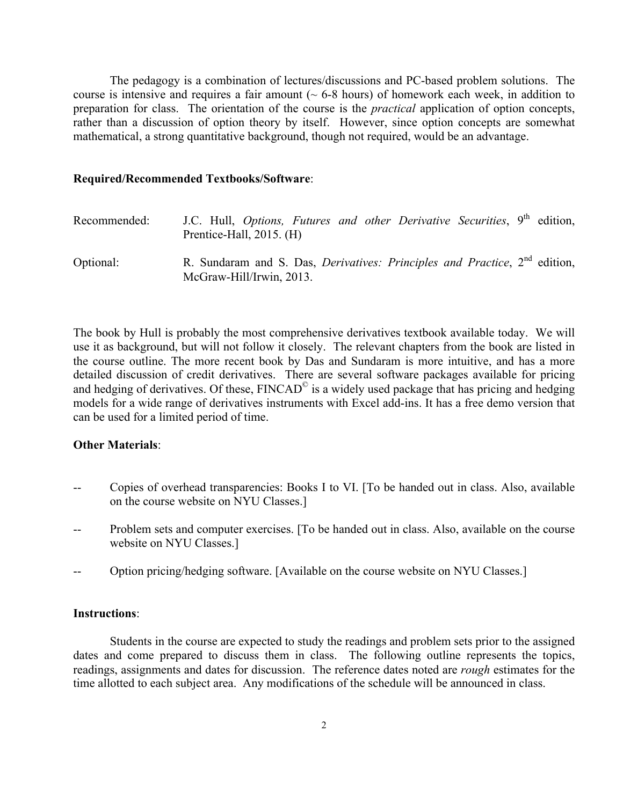The pedagogy is a combination of lectures/discussions and PC-based problem solutions. The course is intensive and requires a fair amount  $($   $\sim$  6-8 hours) of homework each week, in addition to preparation for class. The orientation of the course is the *practical* application of option concepts, rather than a discussion of option theory by itself. However, since option concepts are somewhat mathematical, a strong quantitative background, though not required, would be an advantage.

#### **Required/Recommended Textbooks/Software**:

| Recommended: | J.C. Hull, <i>Options, Futures and other Derivative Securities</i> , 9 <sup>th</sup> edition,<br>Prentice-Hall, $2015$ . (H) |
|--------------|------------------------------------------------------------------------------------------------------------------------------|
| Optional:    | R. Sundaram and S. Das, <i>Derivatives: Principles and Practice</i> , 2 <sup>nd</sup> edition,<br>McGraw-Hill/Irwin, 2013.   |

The book by Hull is probably the most comprehensive derivatives textbook available today. We will use it as background, but will not follow it closely. The relevant chapters from the book are listed in the course outline. The more recent book by Das and Sundaram is more intuitive, and has a more detailed discussion of credit derivatives. There are several software packages available for pricing and hedging of derivatives. Of these, FINCAD<sup>©</sup> is a widely used package that has pricing and hedging models for a wide range of derivatives instruments with Excel add-ins. It has a free demo version that can be used for a limited period of time.

#### **Other Materials**:

- Copies of overhead transparencies: Books I to VI. [To be handed out in class. Also, available on the course website on NYU Classes.]
- Problem sets and computer exercises. [To be handed out in class. Also, available on the course website on NYU Classes.]
- Option pricing/hedging software. [Available on the course website on NYU Classes.]

#### **Instructions**:

Students in the course are expected to study the readings and problem sets prior to the assigned dates and come prepared to discuss them in class. The following outline represents the topics, readings, assignments and dates for discussion. The reference dates noted are *rough* estimates for the time allotted to each subject area. Any modifications of the schedule will be announced in class.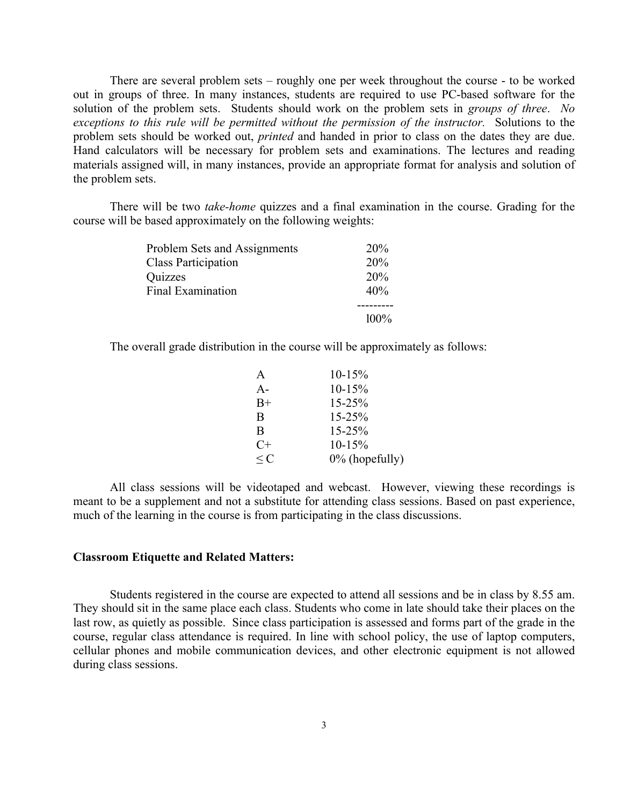There are several problem sets – roughly one per week throughout the course - to be worked out in groups of three. In many instances, students are required to use PC-based software for the solution of the problem sets. Students should work on the problem sets in *groups of three*. *No exceptions to this rule will be permitted without the permission of the instructor.* Solutions to the problem sets should be worked out, *printed* and handed in prior to class on the dates they are due. Hand calculators will be necessary for problem sets and examinations. The lectures and reading materials assigned will, in many instances, provide an appropriate format for analysis and solution of the problem sets.

There will be two *take-home* quizzes and a final examination in the course. Grading for the course will be based approximately on the following weights:

| Problem Sets and Assignments | 20%        |
|------------------------------|------------|
| <b>Class Participation</b>   | <b>20%</b> |
| Quizzes                      | 20%        |
| Final Examination            | 40%        |
|                              |            |
|                              | $100\%$    |

The overall grade distribution in the course will be approximately as follows:

| A        | $10-15%$          |
|----------|-------------------|
| $A-$     | $10-15%$          |
| $B+$     | $15 - 25\%$       |
| B        | $15 - 25\%$       |
| B        | $15 - 25%$        |
| C+       | $10-15%$          |
| $\leq C$ | $0\%$ (hopefully) |

All class sessions will be videotaped and webcast. However, viewing these recordings is meant to be a supplement and not a substitute for attending class sessions. Based on past experience, much of the learning in the course is from participating in the class discussions.

#### **Classroom Etiquette and Related Matters:**

Students registered in the course are expected to attend all sessions and be in class by 8.55 am. They should sit in the same place each class. Students who come in late should take their places on the last row, as quietly as possible. Since class participation is assessed and forms part of the grade in the course, regular class attendance is required. In line with school policy, the use of laptop computers, cellular phones and mobile communication devices, and other electronic equipment is not allowed during class sessions.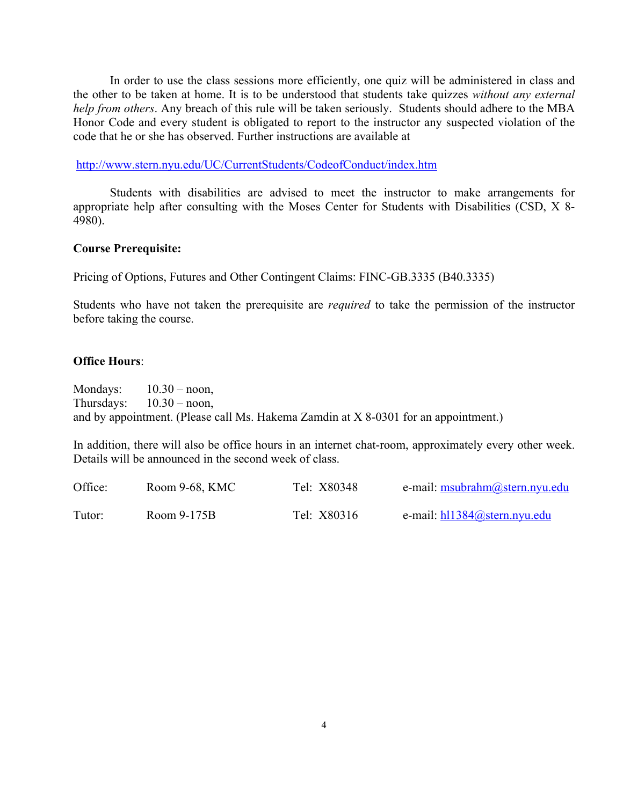In order to use the class sessions more efficiently, one quiz will be administered in class and the other to be taken at home. It is to be understood that students take quizzes *without any external help from others*. Any breach of this rule will be taken seriously. Students should adhere to the MBA Honor Code and every student is obligated to report to the instructor any suspected violation of the code that he or she has observed. Further instructions are available at

http://www.stern.nyu.edu/UC/CurrentStudents/CodeofConduct/index.htm

Students with disabilities are advised to meet the instructor to make arrangements for appropriate help after consulting with the Moses Center for Students with Disabilities (CSD, X 8- 4980).

#### **Course Prerequisite:**

Pricing of Options, Futures and Other Contingent Claims: FINC-GB.3335 (B40.3335)

Students who have not taken the prerequisite are *required* to take the permission of the instructor before taking the course.

#### **Office Hours**:

Mondays:  $10.30 -$  noon, Thursdays:  $10.30 -$  noon, and by appointment. (Please call Ms. Hakema Zamdin at X 8-0301 for an appointment.)

In addition, there will also be office hours in an internet chat-room, approximately every other week. Details will be announced in the second week of class.

| Office: | Room 9-68, KMC | Tel: X80348 | e-mail: msubrahm@stern.nyu.edu  |
|---------|----------------|-------------|---------------------------------|
| Tutor:  | Room 9-175B    | Tel: X80316 | e-mail: $h11384$ @stern.nyu.edu |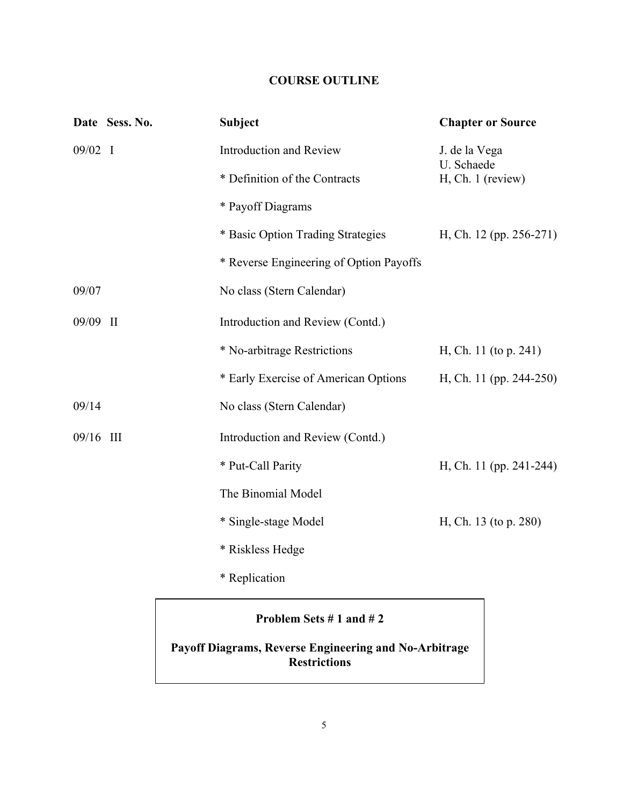# **COURSE OUTLINE**

|           | Date Sess. No. | <b>Subject</b>                          | <b>Chapter or Source</b>    |
|-----------|----------------|-----------------------------------------|-----------------------------|
| $09/02$ I |                | <b>Introduction and Review</b>          | J. de la Vega<br>U. Schaede |
|           |                | * Definition of the Contracts           | H, Ch. 1 (review)           |
|           |                | * Payoff Diagrams                       |                             |
|           |                | * Basic Option Trading Strategies       | H, Ch. 12 (pp. 256-271)     |
|           |                | * Reverse Engineering of Option Payoffs |                             |
| 09/07     |                | No class (Stern Calendar)               |                             |
| 09/09 II  |                | Introduction and Review (Contd.)        |                             |
|           |                | * No-arbitrage Restrictions             | H, Ch. 11 (to p. 241)       |
|           |                | * Early Exercise of American Options    | H, Ch. 11 (pp. 244-250)     |
| 09/14     |                | No class (Stern Calendar)               |                             |
| 09/16 III |                | Introduction and Review (Contd.)        |                             |
|           |                | * Put-Call Parity                       | H, Ch. 11 (pp. 241-244)     |
|           |                | The Binomial Model                      |                             |
|           |                | * Single-stage Model                    | H, Ch. 13 (to p. 280)       |
|           |                | * Riskless Hedge                        |                             |
|           |                | * Replication                           |                             |
|           |                |                                         |                             |

# **Problem Sets # 1 and # 2**

# **Payoff Diagrams, Reverse Engineering and No-Arbitrage Restrictions**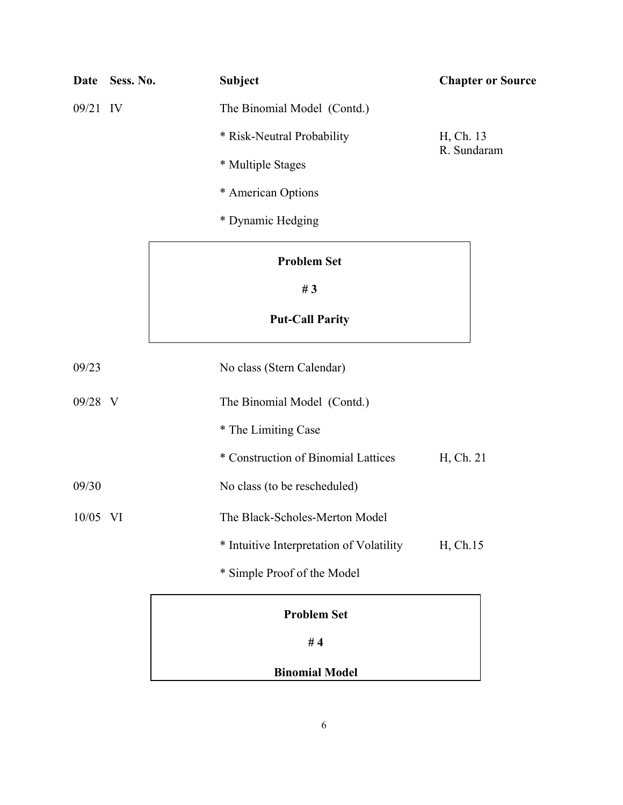| Date     | Sess. No. | <b>Subject</b>                           | <b>Chapter or Source</b> |
|----------|-----------|------------------------------------------|--------------------------|
| 09/21 IV |           | The Binomial Model (Contd.)              |                          |
|          |           | * Risk-Neutral Probability               | H, Ch. 13                |
|          |           | * Multiple Stages                        | R. Sundaram              |
|          |           | * American Options                       |                          |
|          |           | * Dynamic Hedging                        |                          |
|          |           | <b>Problem Set</b>                       |                          |
|          |           | #3                                       |                          |
|          |           | <b>Put-Call Parity</b>                   |                          |
| 09/23    |           | No class (Stern Calendar)                |                          |
| 09/28 V  |           | The Binomial Model (Contd.)              |                          |
|          |           | * The Limiting Case                      |                          |
|          |           | * Construction of Binomial Lattices      | H, Ch. 21                |
| 09/30    |           | No class (to be rescheduled)             |                          |
| 10/05 VI |           | The Black-Scholes-Merton Model           |                          |
|          |           | * Intuitive Interpretation of Volatility | H, Ch.15                 |
|          |           | * Simple Proof of the Model              |                          |
|          |           | <b>Problem Set</b>                       |                          |
|          |           | #4                                       |                          |

**Binomial Model**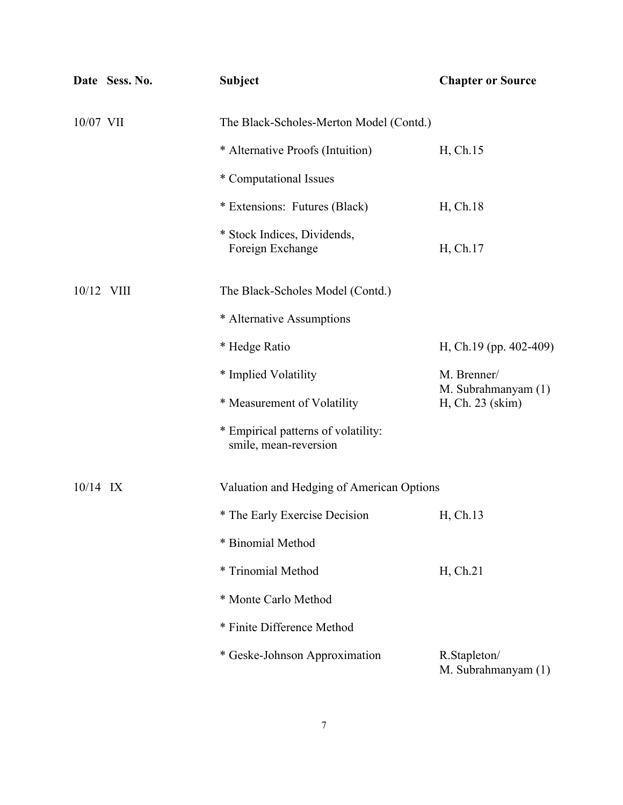|            | Date Sess. No. | <b>Subject</b>                                               | <b>Chapter or Source</b>                |
|------------|----------------|--------------------------------------------------------------|-----------------------------------------|
| 10/07 VII  |                | The Black-Scholes-Merton Model (Contd.)                      |                                         |
|            |                | * Alternative Proofs (Intuition)                             | H, Ch.15                                |
|            |                | * Computational Issues                                       |                                         |
|            |                | * Extensions: Futures (Black)                                | H, Ch.18                                |
|            |                | * Stock Indices, Dividends,<br>Foreign Exchange              | H, Ch.17                                |
| 10/12 VIII |                | The Black-Scholes Model (Contd.)                             |                                         |
|            |                | * Alternative Assumptions                                    |                                         |
|            |                | * Hedge Ratio                                                | H, Ch.19 (pp. 402-409)                  |
|            |                | * Implied Volatility                                         | M. Brenner/                             |
|            |                | * Measurement of Volatility                                  | M. Subrahmanyam (1)<br>H, Ch. 23 (skim) |
|            |                | * Empirical patterns of volatility:<br>smile, mean-reversion |                                         |
| $10/14$ IX |                | Valuation and Hedging of American Options                    |                                         |
|            |                | * The Early Exercise Decision                                | H, Ch.13                                |
|            |                | * Binomial Method                                            |                                         |
|            |                | * Trinomial Method                                           | H, Ch.21                                |
|            |                | * Monte Carlo Method                                         |                                         |
|            |                | * Finite Difference Method                                   |                                         |
|            |                | * Geske-Johnson Approximation                                | R.Stapleton/<br>M. Subrahmanyam (1)     |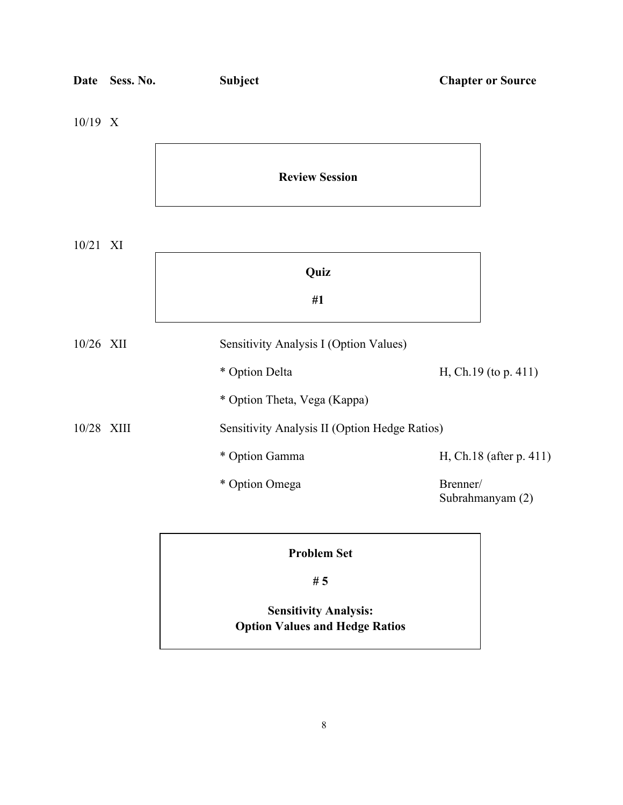| <b>Date</b> | Sess. No. | <b>Subject</b>                                | <b>Chapter or Source</b>     |
|-------------|-----------|-----------------------------------------------|------------------------------|
| 10/19 X     |           |                                               |                              |
|             |           | <b>Review Session</b>                         |                              |
| 10/21 XI    |           |                                               |                              |
|             |           | Quiz                                          |                              |
|             |           | #1                                            |                              |
| 10/26 XII   |           | Sensitivity Analysis I (Option Values)        |                              |
|             |           | * Option Delta                                | H, Ch.19 (to p. 411)         |
|             |           | * Option Theta, Vega (Kappa)                  |                              |
| 10/28 XIII  |           | Sensitivity Analysis II (Option Hedge Ratios) |                              |
|             |           | * Option Gamma                                | H, Ch.18 (after p. 411)      |
|             |           | * Option Omega                                | Brenner/<br>Subrahmanyam (2) |
|             |           | <b>Problem Set</b>                            |                              |
|             |           | #5                                            |                              |

# **Sensitivity Analysis: Option Values and Hedge Ratios**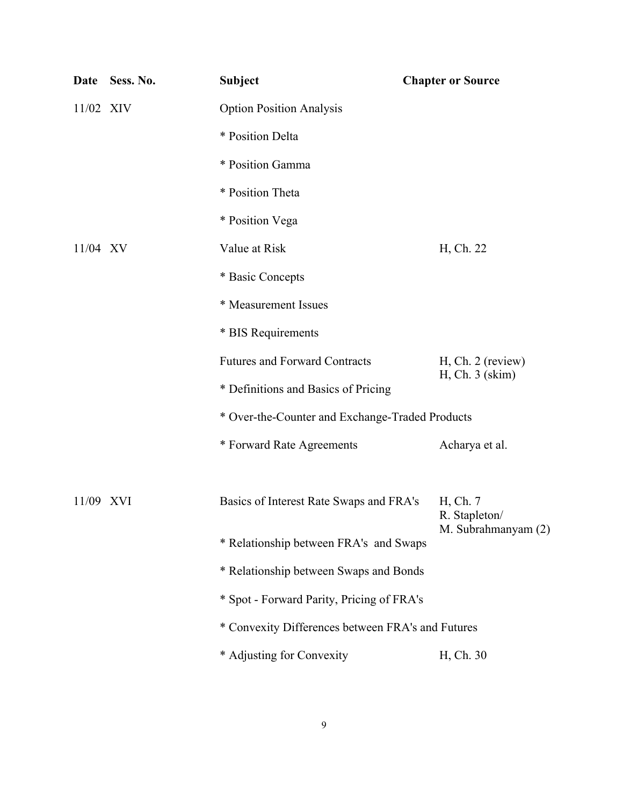| Date       | Sess. No. | <b>Subject</b>                                    | <b>Chapter or Source</b>  |
|------------|-----------|---------------------------------------------------|---------------------------|
| 11/02 XIV  |           | <b>Option Position Analysis</b>                   |                           |
|            |           | * Position Delta                                  |                           |
|            |           | * Position Gamma                                  |                           |
|            |           | * Position Theta                                  |                           |
|            |           | * Position Vega                                   |                           |
| $11/04$ XV |           | Value at Risk                                     | H, Ch. 22                 |
|            |           | * Basic Concepts                                  |                           |
|            |           | * Measurement Issues                              |                           |
|            |           | * BIS Requirements                                |                           |
|            |           | <b>Futures and Forward Contracts</b>              | $H, Ch. 2$ (review)       |
|            |           | * Definitions and Basics of Pricing               | H, Ch. 3 (skim)           |
|            |           | * Over-the-Counter and Exchange-Traded Products   |                           |
|            |           | * Forward Rate Agreements                         | Acharya et al.            |
| 11/09 XVI  |           | Basics of Interest Rate Swaps and FRA's           | H, Ch. 7<br>R. Stapleton/ |
|            |           | * Relationship between FRA's and Swaps            | M. Subrahmanyam (2)       |
|            |           | * Relationship between Swaps and Bonds            |                           |
|            |           | * Spot - Forward Parity, Pricing of FRA's         |                           |
|            |           | * Convexity Differences between FRA's and Futures |                           |
|            |           | * Adjusting for Convexity                         | H, Ch. 30                 |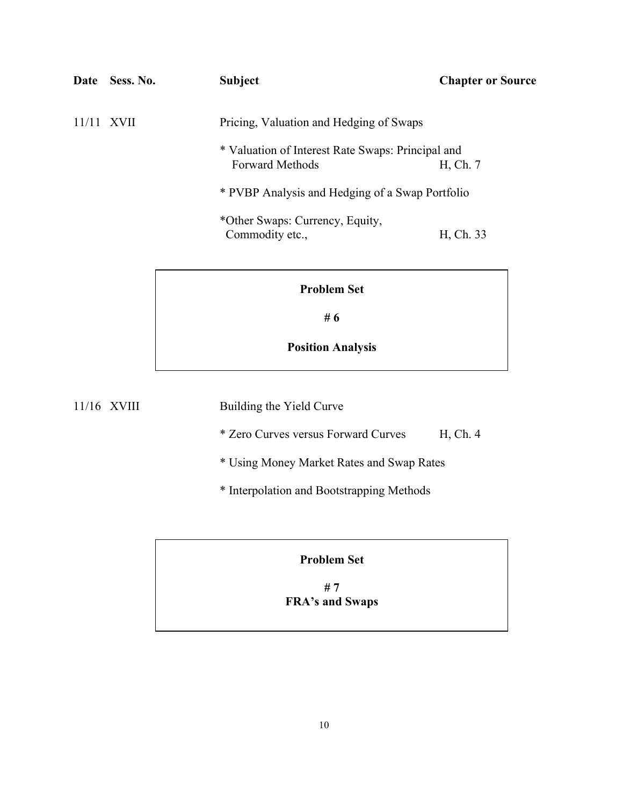| Date  | Sess. No.   | Subject                                                                     | <b>Chapter or Source</b> |
|-------|-------------|-----------------------------------------------------------------------------|--------------------------|
| 11/11 | <b>XVII</b> | Pricing, Valuation and Hedging of Swaps                                     |                          |
|       |             | * Valuation of Interest Rate Swaps: Principal and<br><b>Forward Methods</b> | H, Ch. 7                 |
|       |             | * PVBP Analysis and Hedging of a Swap Portfolio                             |                          |
|       |             | *Other Swaps: Currency, Equity,<br>Commodity etc.,                          | H, Ch. 33                |

**# 6**

**Position Analysis**

11/16 XVIII Building the Yield Curve

\* Zero Curves versus Forward Curves H, Ch. 4

\* Using Money Market Rates and Swap Rates

\* Interpolation and Bootstrapping Methods

# **Problem Set**

**# 7 FRA's and Swaps**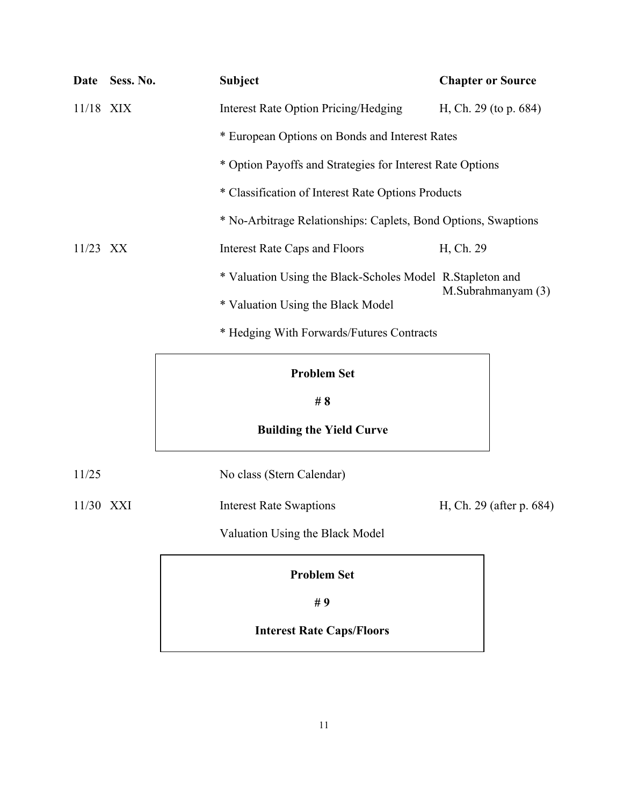|             | Date Sess. No. | Subject                                                        | <b>Chapter or Source</b> |
|-------------|----------------|----------------------------------------------------------------|--------------------------|
| $11/18$ XIX |                | Interest Rate Option Pricing/Hedging                           | H, Ch. 29 (to p. $684$ ) |
|             |                | * European Options on Bonds and Interest Rates                 |                          |
|             |                | * Option Payoffs and Strategies for Interest Rate Options      |                          |
|             |                | * Classification of Interest Rate Options Products             |                          |
|             |                | * No-Arbitrage Relationships: Caplets, Bond Options, Swaptions |                          |
| $11/23$ XX  |                | <b>Interest Rate Caps and Floors</b>                           | H, Ch. 29                |
|             |                | * Valuation Using the Black-Scholes Model R. Stapleton and     |                          |
|             |                | * Valuation Using the Black Model                              | M.Subrahmanyam (3)       |
|             |                | * Hedging With Forwards/Futures Contracts                      |                          |

**# 8**

# **Building the Yield Curve**

11/25 No class (Stern Calendar)

11/30 XXI Interest Rate Swaptions H, Ch. 29 (after p. 684)

Valuation Using the Black Model

**Problem Set**

**# 9**

# **Interest Rate Caps/Floors**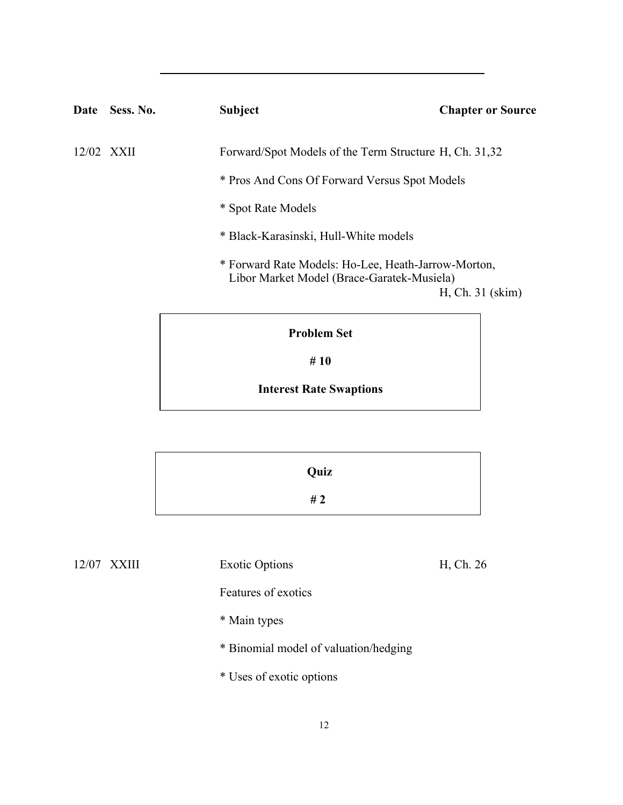| Date               | Sess. No.  | <b>Subject</b>                                                                                    | <b>Chapter or Source</b> |
|--------------------|------------|---------------------------------------------------------------------------------------------------|--------------------------|
|                    | 12/02 XXII | Forward/Spot Models of the Term Structure H, Ch. 31,32                                            |                          |
|                    |            | * Pros And Cons Of Forward Versus Spot Models                                                     |                          |
| * Spot Rate Models |            |                                                                                                   |                          |
|                    |            | * Black-Karasinski, Hull-White models                                                             |                          |
|                    |            | * Forward Rate Models: Ho-Lee, Heath-Jarrow-Morton,<br>Libor Market Model (Brace-Garatek-Musiela) | H, Ch. 31 (skim)         |
|                    |            |                                                                                                   |                          |

**# 10**

# **Interest Rate Swaptions**

| Quiz  |
|-------|
| # $2$ |

12/07 XXIII Exotic Options H, Ch. 26

Features of exotics

- \* Main types
- \* Binomial model of valuation/hedging
- \* Uses of exotic options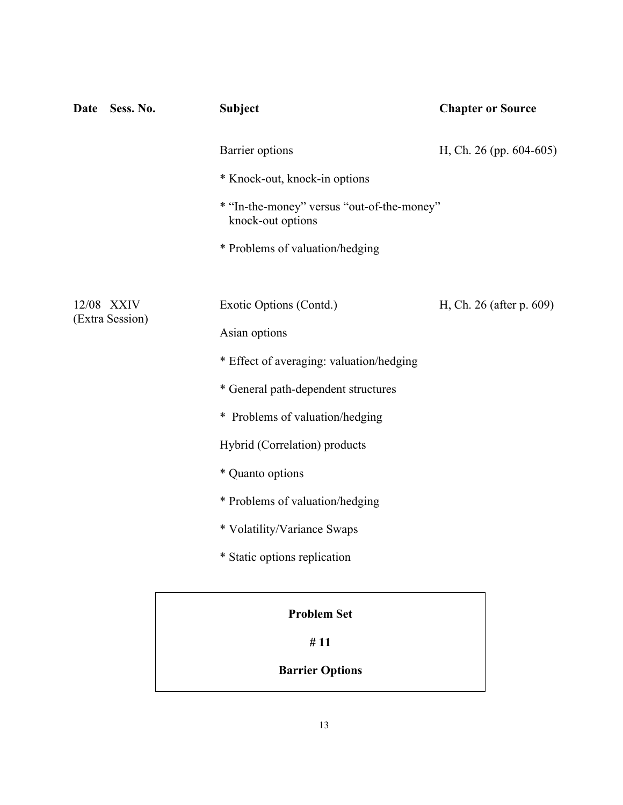| Sess. No.<br>Date             | <b>Subject</b>                                                  | <b>Chapter or Source</b>   |
|-------------------------------|-----------------------------------------------------------------|----------------------------|
|                               | Barrier options                                                 | H, Ch. 26 (pp. $604-605$ ) |
|                               | * Knock-out, knock-in options                                   |                            |
|                               | * "In-the-money" versus "out-of-the-money"<br>knock-out options |                            |
|                               | * Problems of valuation/hedging                                 |                            |
|                               |                                                                 |                            |
| 12/08 XXIV<br>(Extra Session) | Exotic Options (Contd.)                                         | H, Ch. 26 (after p. 609)   |
|                               | Asian options                                                   |                            |
|                               | * Effect of averaging: valuation/hedging                        |                            |
|                               | * General path-dependent structures                             |                            |
|                               | * Problems of valuation/hedging                                 |                            |
|                               | Hybrid (Correlation) products                                   |                            |
|                               | * Quanto options                                                |                            |
|                               | * Problems of valuation/hedging                                 |                            |
|                               | * Volatility/Variance Swaps                                     |                            |
|                               | * Static options replication                                    |                            |
|                               | <b>Problem Set</b>                                              |                            |
|                               | #11                                                             |                            |

**Barrier Options**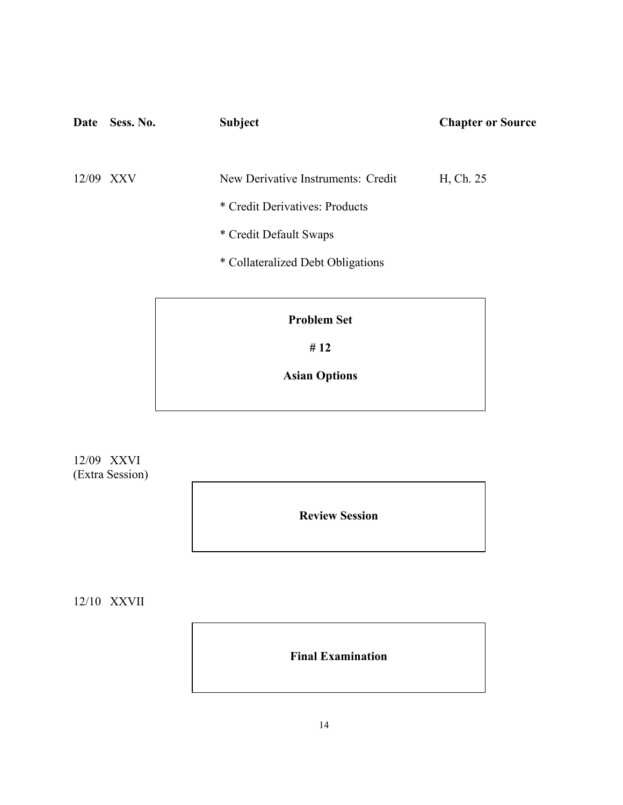| Date  | Sess. No. | <b>Subject</b>                     | <b>Chapter or Source</b> |
|-------|-----------|------------------------------------|--------------------------|
| 12/09 | XXV       | New Derivative Instruments: Credit | H, Ch. 25                |
|       |           | * Credit Derivatives: Products     |                          |
|       |           | * Credit Default Swaps             |                          |
|       |           | * Collateralized Debt Obligations  |                          |
|       |           |                                    |                          |

**# 12**

**Asian Options**

12/09 XXVI (Extra Session)

**Review Session**

12/10 XXVII

**Final Examination**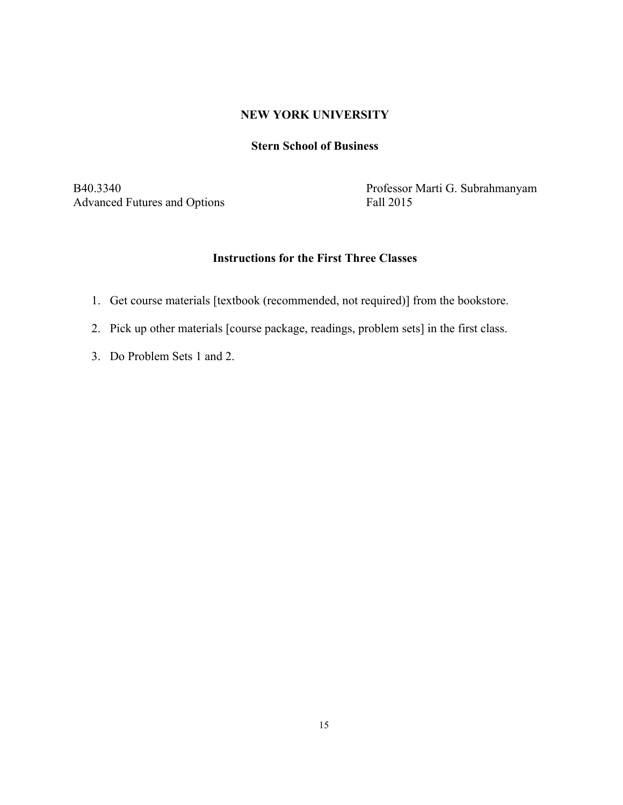# **NEW YORK UNIVERSITY**

# **Stern School of Business**

Advanced Futures and Options

B40.3340<br>Advanced Futures and Options<br>Fall 2015<br>Fall 2015

# **Instructions for the First Three Classes**

- 1. Get course materials [textbook (recommended, not required)] from the bookstore.
- 2. Pick up other materials [course package, readings, problem sets] in the first class.
- 3. Do Problem Sets 1 and 2.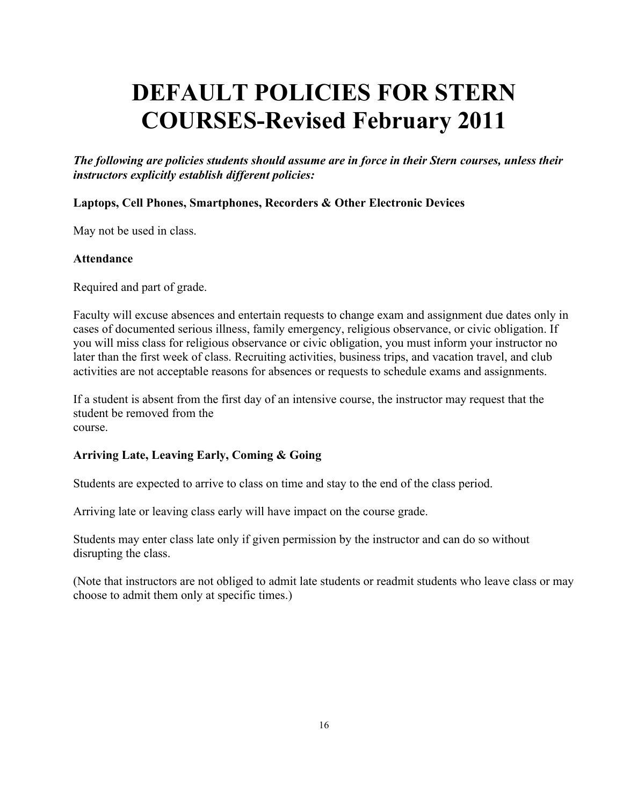# **DEFAULT POLICIES FOR STERN COURSES-Revised February 2011**

*The following are policies students should assume are in force in their Stern courses, unless their instructors explicitly establish different policies:*

# **Laptops, Cell Phones, Smartphones, Recorders & Other Electronic Devices**

May not be used in class.

# **Attendance**

Required and part of grade.

Faculty will excuse absences and entertain requests to change exam and assignment due dates only in cases of documented serious illness, family emergency, religious observance, or civic obligation. If you will miss class for religious observance or civic obligation, you must inform your instructor no later than the first week of class. Recruiting activities, business trips, and vacation travel, and club activities are not acceptable reasons for absences or requests to schedule exams and assignments.

If a student is absent from the first day of an intensive course, the instructor may request that the student be removed from the course.

# **Arriving Late, Leaving Early, Coming & Going**

Students are expected to arrive to class on time and stay to the end of the class period.

Arriving late or leaving class early will have impact on the course grade.

Students may enter class late only if given permission by the instructor and can do so without disrupting the class.

(Note that instructors are not obliged to admit late students or readmit students who leave class or may choose to admit them only at specific times.)